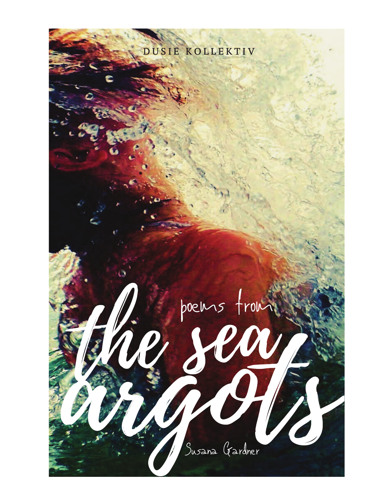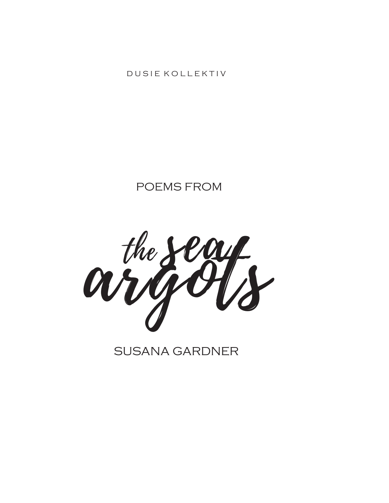DUSIE KOLLEKTIV

#### POEMS FROM



**SUSANA GARDNER**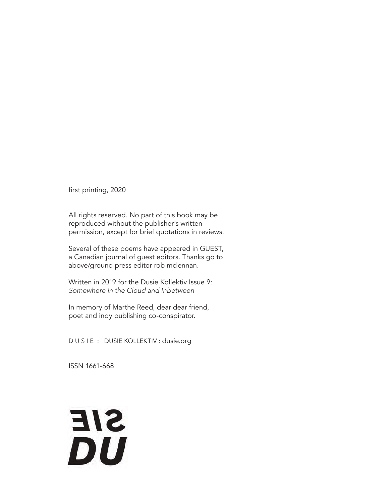first printing, 2020

All rights reserved. No part of this book may be reproduced without the publisher's written permission, except for brief quotations in reviews.

Several of these poems have appeared in GUEST, a Canadian journal of guest editors. Thanks go to above/ground press editor rob mclennan.

Written in 2019 for the Dusie Kollektiv Issue 9: *Somewhere in the Cloud and Inbetween*

In memory of Marthe Reed, dear dear friend, poet and indy publishing co-conspirator.

D U S I E : DUSIE KOLLEKTIV : dusie.org

ISSN 1661-668

# **SIE**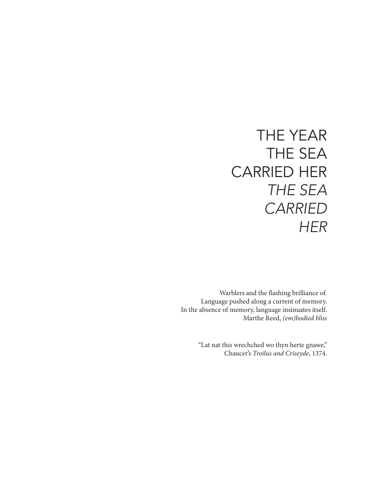#### **THE YEAR** THE SEA **CARRIED HER** THE SEA **CARRIED HER**

Warblers and the flashing brilliance of. Language pushed along a current of memory. In the absence of memory, language insinuates itself. Marthe Reed, (em)bodied bliss

> "Lat nat this wrechched wo thyn herte gnawe," Chaucer's Troilus and Criseyde, 1374.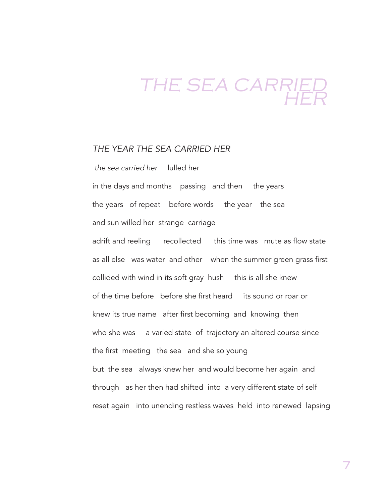#### *THE YEAR THE SEA CARRIED HER*

 *the sea carried her* lulled her in the days and months passing and then the years the years of repeat before words the year the sea and sun willed her strange carriage adrift and reeling recollected this time was mute as flow state as all else was water and other when the summer green grass first collided with wind in its soft gray hush this is all she knew of the time before before she first heard its sound or roar or knew its true name after first becoming and knowing then who she was a varied state of trajectory an altered course since the first meeting the sea and she so young but the sea always knew her and would become her again and through as her then had shifted into a very different state of self reset again into unending restless waves held into renewed lapsing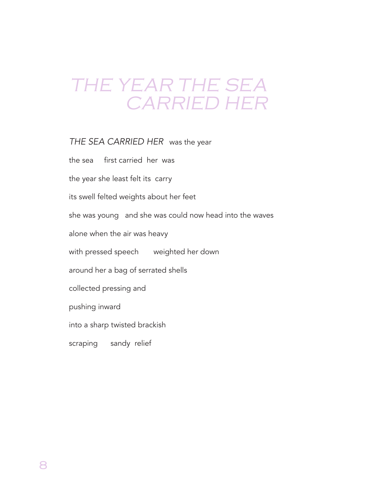#### *THE SEA CARRIED HER* was the year

the sea first carried her was the year she least felt its carry its swell felted weights about her feet she was young and she was could now head into the waves alone when the air was heavy with pressed speech weighted her down around her a bag of serrated shells collected pressing and pushing inward into a sharp twisted brackish

scraping sandy relief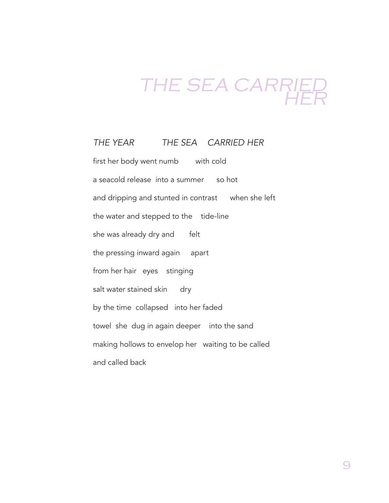#### *THE YEAR THE SEA CARRIED HER*

first her body went numb with cold a seacold release into a summer so hot and dripping and stunted in contrast when she left the water and stepped to the tide-line she was already dry and felt the pressing inward again apart from her hair eyes stinging salt water stained skin dry by the time collapsed into her faded towel she dug in again deeper into the sand making hollows to envelop her waiting to be called and called back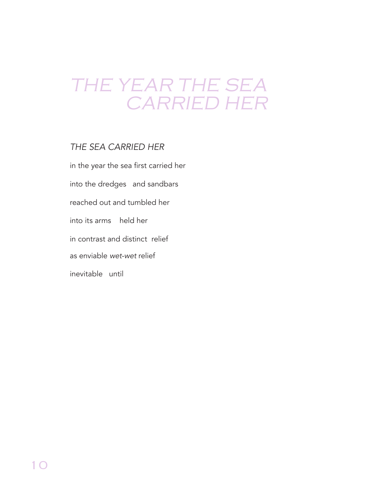#### *THE SEA CARRIED HER*

in the year the sea first carried her into the dredges and sandbars reached out and tumbled her into its arms held her in contrast and distinct relief as enviable *wet-wet* relief inevitable until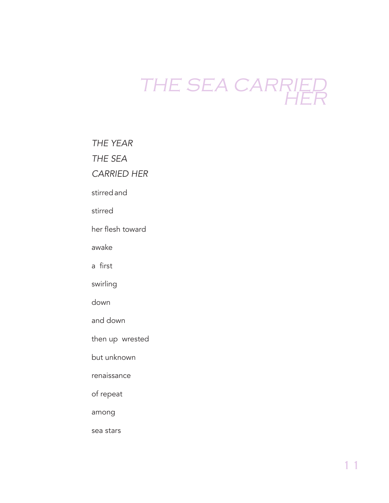*THE YEAR* 

*THE SEA* 

*CARRIED HER* 

stirredand

stirred

her flesh toward

awake

a first

swirling

down

and down

then up wrested

but unknown

renaissance

of repeat

among

sea stars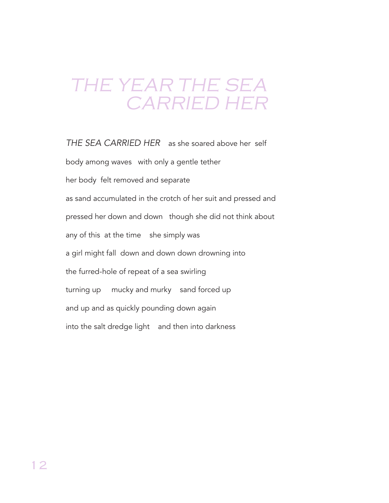*THE SEA CARRIED HER* as she soared above her self body among waves with only a gentle tether her body felt removed and separate as sand accumulated in the crotch of her suit and pressed and pressed her down and down though she did not think about any of this at the time she simply was a girl might fall down and down down drowning into the furred-hole of repeat of a sea swirling turning up mucky and murky sand forced up and up and as quickly pounding down again into the salt dredge light and then into darkness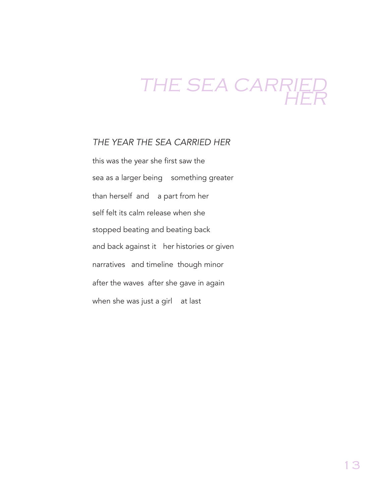#### *THE YEAR THE SEA CARRIED HER*

this was the year she first saw the sea as a larger being something greater than herself and a part from her self felt its calm release when she stopped beating and beating back and back against it her histories or given narratives and timeline though minor after the waves after she gave in again when she was just a girl at last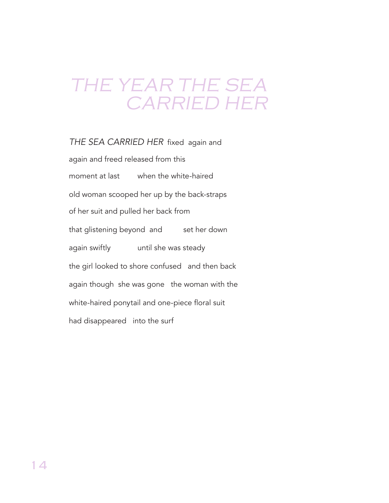*THE SEA CARRIED HER* fixed again and again and freed released from this moment at last when the white-haired old woman scooped her up by the back-straps of her suit and pulled her back from that glistening beyond and set her down again swiftly until she was steady the girl looked to shore confused and then back again though she was gone the woman with the white-haired ponytail and one-piece floral suit had disappeared into the surf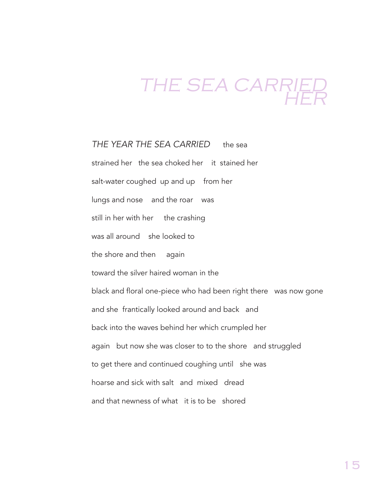*THE YEAR THE SEA CARRIED* the sea strained her the sea choked her it stained her salt-water coughed up and up from her lungs and nose and the roar was still in her with her the crashing was all around she looked to the shore and then again toward the silver haired woman in the black and floral one-piece who had been right there was now gone and she frantically looked around and back and back into the waves behind her which crumpled her again but now she was closer to to the shore and struggled to get there and continued coughing until she was hoarse and sick with salt and mixed dread and that newness of what it is to be shored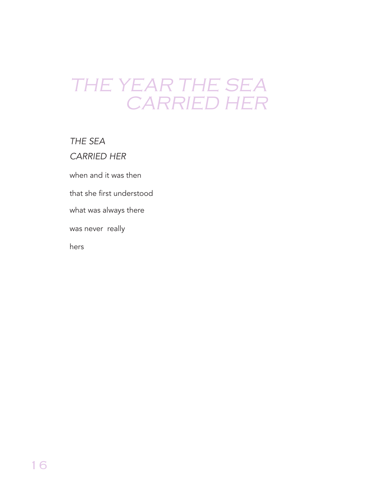*THE SEA* 

*CARRIED HER*

when and it was then

that she first understood

what was always there

was never really

hers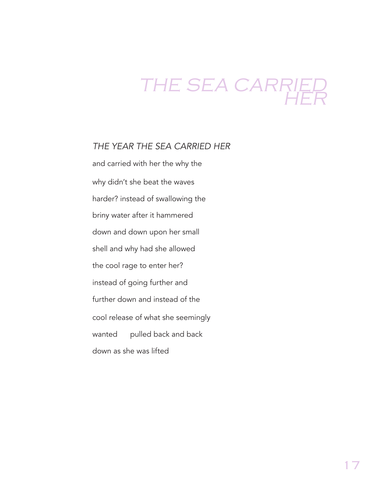#### *THE YEAR THE SEA CARRIED HER*

and carried with her the why the why didn't she beat the waves harder? instead of swallowing the briny water after it hammered down and down upon her small shell and why had she allowed the cool rage to enter her? instead of going further and further down and instead of the cool release of what she seemingly wanted pulled back and back down as she was lifted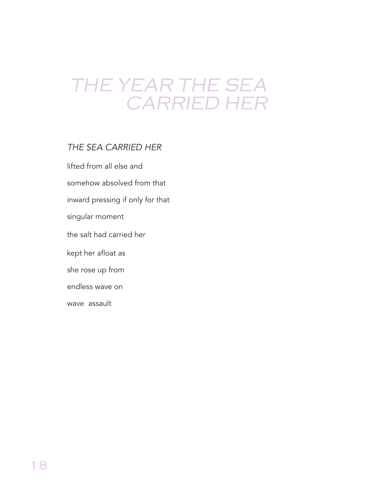#### *THE SEA CARRIED HER*

lifted from all else and somehow absolved from that inward pressing if only for that singular moment the salt had carried her kept her afloat as she rose up from endless wave on wave assault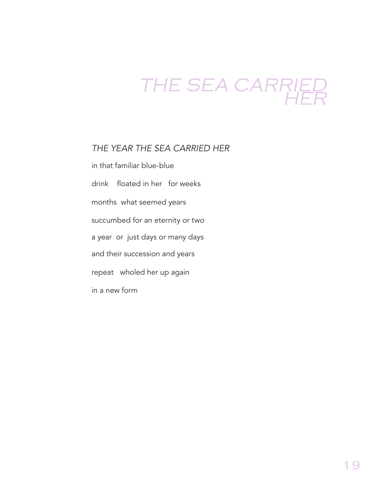#### *THE YEAR THE SEA CARRIED HER*

in that familiar blue-blue drink floated in her for weeks months what seemed years succumbed for an eternity or two a year or just days or many days and their succession and years repeat wholed her up again in a new form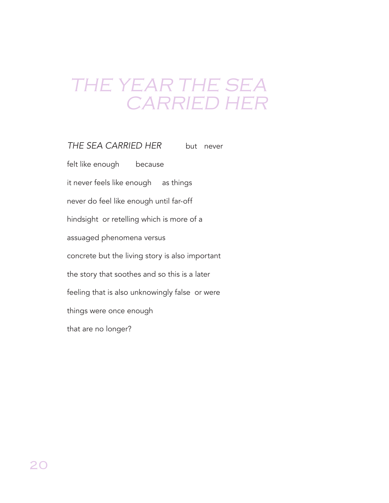**THE SEA CARRIED HER** but never felt like enough because it never feels like enough as things never do feel like enough until far-off hindsight or retelling which is more of a assuaged phenomena versus concrete but the living story is also important the story that soothes and so this is a later feeling that is also unknowingly false or were things were once enough that are no longer?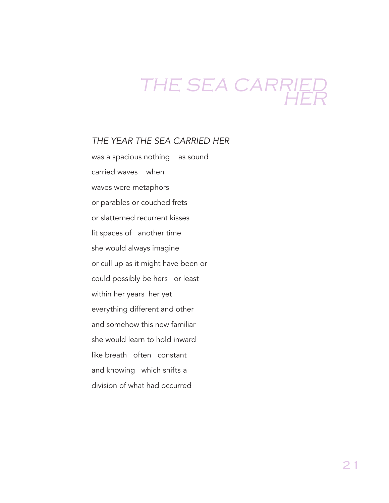#### *THE YEAR THE SEA CARRIED HER*

was a spacious nothing as sound carried waves when waves were metaphors or parables or couched frets or slatterned recurrent kisses lit spaces of another time she would always imagine or cull up as it might have been or could possibly be hers or least within her years her yet everything different and other and somehow this new familiar she would learn to hold inward like breath often constant and knowing which shifts a division of what had occurred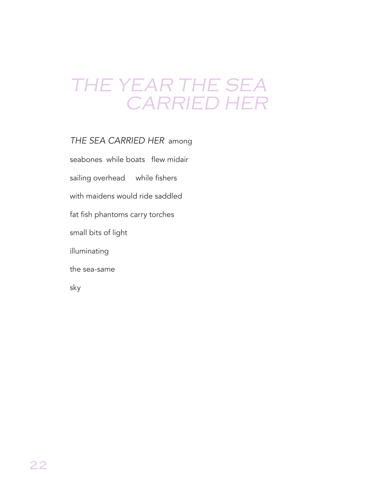#### *THE SEA CARRIED HER* among

seabones while boats flew midair sailing overhead while fishers with maidens would ride saddled fat fish phantoms carry torches small bits of light illuminating the sea-same sky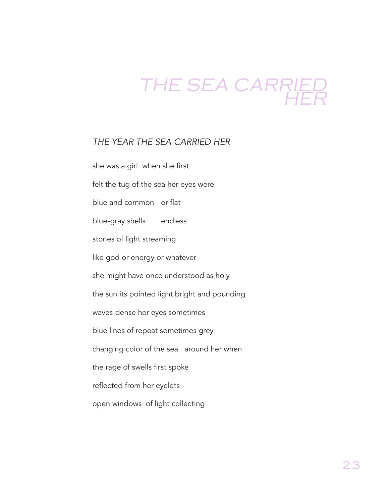#### *THE YEAR THE SEA CARRIED HER*

| she was a girl when she first                 |  |  |  |  |  |
|-----------------------------------------------|--|--|--|--|--|
| felt the tug of the sea her eyes were         |  |  |  |  |  |
| blue and common or flat                       |  |  |  |  |  |
| blue-gray shells endless                      |  |  |  |  |  |
| stones of light streaming                     |  |  |  |  |  |
| like god or energy or whatever                |  |  |  |  |  |
| she might have once understood as holy        |  |  |  |  |  |
| the sun its pointed light bright and pounding |  |  |  |  |  |
| waves dense her eyes sometimes                |  |  |  |  |  |
| blue lines of repeat sometimes grey           |  |  |  |  |  |
| changing color of the sea around her when     |  |  |  |  |  |
| the rage of swells first spoke                |  |  |  |  |  |
| reflected from her eyelets                    |  |  |  |  |  |
| open windows of light collecting              |  |  |  |  |  |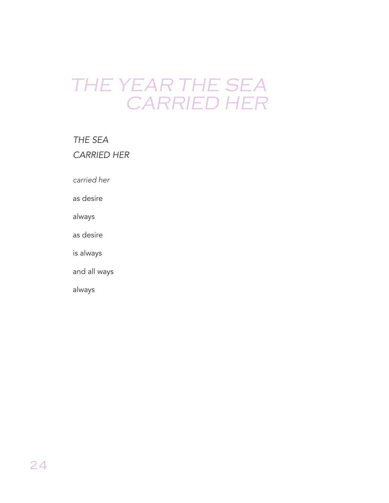#### *THE SEA*

#### *CARRIED HER*

*carried her*

as desire

always

as desire

is always

and all ways

always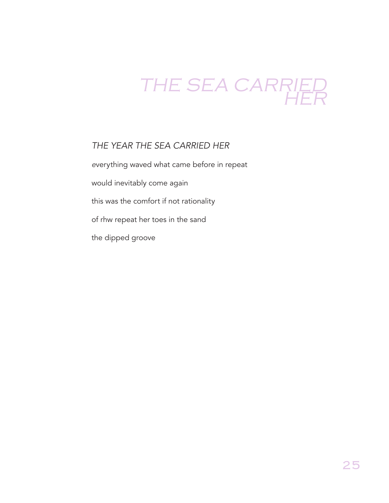#### *THE YEAR THE SEA CARRIED HER*

*e*verything waved what came before in repeat

would inevitably come again

this was the comfort if not rationality

of rhw repeat her toes in the sand

the dipped groove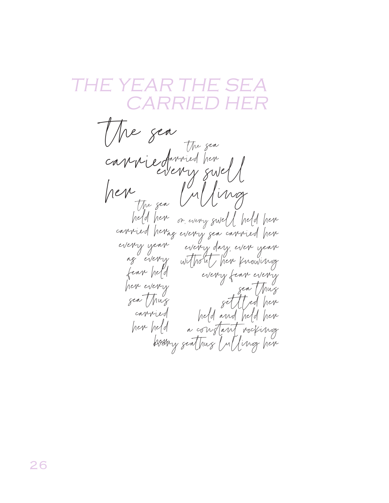The sea held her carried her every year as every fear held her every sea thus carried her held her every swell lulling or, every swell held her as every sea carried her every day, ever year without her knowing every fear every sea thus settled her held and held her a constant rocking every seathus lulling her the sea farried her the sea cappie fan her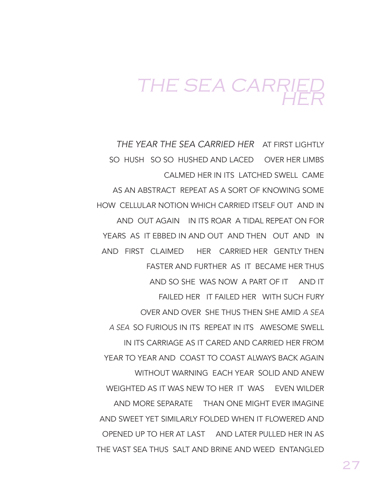### THE SEA CARRII

*THE YEAR THE SEA CARRIED HER* AT FIRST LIGHTLY SO HUSH SO SO HUSHED AND LACED OVER HER LIMBS CALMED HER IN ITS LATCHED SWELL CAME AS AN ABSTRACT REPEAT AS A SORT OF KNOWING SOME HOW CELLULAR NOTION WHICH CARRIED ITSELF OUT AND IN AND OUT AGAIN IN ITS ROAR A TIDAL REPEAT ON FOR YEARS AS IT EBBED IN AND OUT AND THEN OUT AND IN AND FIRST CLAIMED HER CARRIED HER GENTLY THEN FASTER AND FURTHER AS IT BECAME HER THUS AND SO SHE WAS NOW A PART OF IT AND IT FAILED HER IT FAILED HER WITH SUCH FURY OVER AND OVER SHE THUS THEN SHE AMID *A SEA A SEA* SO FURIOUS IN ITS REPEAT IN ITS AWESOME SWELL IN ITS CARRIAGE AS IT CARED AND CARRIED HER FROM YEAR TO YEAR AND COAST TO COAST ALWAYS BACK AGAIN WITHOUT WARNING EACH YEAR SOLID AND ANEW WEIGHTED AS IT WAS NEW TO HER IT WAS EVEN WILDER AND MORE SEPARATE THAN ONE MIGHT EVER IMAGINE AND SWEET YET SIMILARLY FOLDED WHEN IT FLOWERED AND OPENED UP TO HER AT LAST AND LATER PULLED HER IN AS THE VAST SEA THUS SALT AND BRINE AND WEED ENTANGLED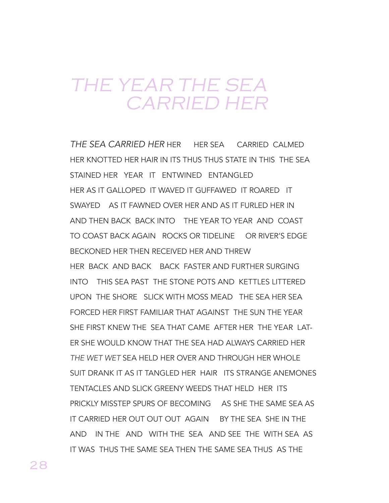*THE SEA CARRIED HER* HER HER SEA CARRIED CALMED HER KNOTTED HER HAIR IN ITS THUS THUS STATE IN THIS THE SEA STAINED HER YEAR IT ENTWINED ENTANGLED HER AS IT GALLOPED IT WAVED IT GUFFAWED IT ROARED IT SWAYED AS IT FAWNED OVER HER AND AS IT FURLED HER IN AND THEN BACK BACK INTO THE YEAR TO YEAR AND COAST TO COAST BACK AGAIN ROCKS OR TIDELINE OR RIVER'S EDGE BECKONED HER THEN RECEIVED HER AND THREW HER BACK AND BACK BACK FASTER AND FURTHER SURGING INTO THIS SEA PAST THE STONE POTS AND KETTLES LITTERED UPON THE SHORE SLICK WITH MOSS MEAD THE SEA HER SEA FORCED HER FIRST FAMILIAR THAT AGAINST THE SUN THE YEAR SHE FIRST KNEW THE SEA THAT CAME AFTER HER THE YEAR LAT-ER SHE WOULD KNOW THAT THE SEA HAD ALWAYS CARRIED HER *THE WET WET* SEA HELD HER OVER AND THROUGH HER WHOLE SUIT DRANK IT AS IT TANGLED HER HAIR ITS STRANGE ANEMONES TENTACLES AND SLICK GREENY WEEDS THAT HELD HER ITS PRICKLY MISSTEP SPURS OF BECOMING AS SHE THE SAME SEA AS IT CARRIED HER OUT OUT OUT AGAIN BY THE SEA SHE IN THE AND IN THE AND WITH THE SEA AND SEE THE WITH SEA AS IT WAS THUS THE SAME SEA THEN THE SAME SEA THUS AS THE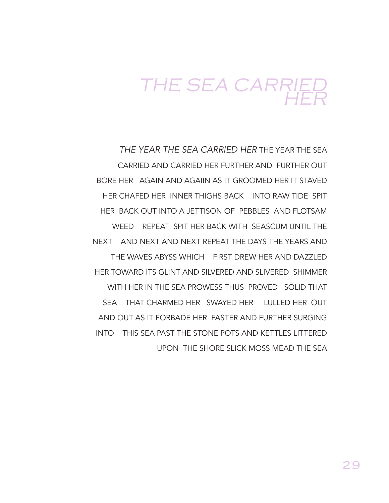*THE YEAR THE SEA CARRIED HER* THE YEAR THE SEA CARRIED AND CARRIED HER FURTHER AND FURTHER OUT BORE HER AGAIN AND AGAIIN AS IT GROOMED HER IT STAVED HER CHAFED HER INNER THIGHS BACK INTO RAW TIDE SPIT HER BACK OUT INTO A JETTISON OF PEBBLES AND FLOTSAM WEED REPEAT SPIT HER BACK WITH SEASCUM UNTIL THE NEXT AND NEXT AND NEXT REPEAT THE DAYS THE YEARS AND THE WAVES ABYSS WHICH FIRST DREW HER AND DAZZLED HER TOWARD ITS GLINT AND SILVERED AND SLIVERED SHIMMER WITH HER IN THE SEA PROWESS THUS PROVED SOLID THAT SEA THAT CHARMED HER SWAYED HER LULLED HER OUT AND OUT AS IT FORBADE HER FASTER AND FURTHER SURGING INTO THIS SEA PAST THE STONE POTS AND KETTLES LITTERED UPON THE SHORE SLICK MOSS MEAD THE SEA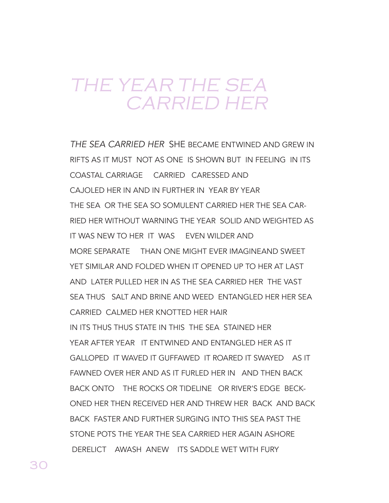*THE SEA CARRIED HER* SHE BECAME ENTWINED AND GREW IN RIFTS AS IT MUST NOT AS ONE IS SHOWN BUT IN FEELING IN ITS COASTAL CARRIAGE CARRIED CARESSED AND CAJOLED HER IN AND IN FURTHER IN YEAR BY YEAR THE SEA OR THE SEA SO SOMULENT CARRIED HER THE SEA CAR-RIED HER WITHOUT WARNING THE YEAR SOLID AND WEIGHTED AS IT WAS NEW TO HER IT WAS EVEN WILDER AND MORE SEPARATE THAN ONE MIGHT EVER IMAGINEAND SWEET YET SIMILAR AND FOLDED WHEN IT OPENED UP TO HER AT LAST AND LATER PULLED HER IN AS THE SEA CARRIED HER THE VAST SEA THUS SALT AND BRINE AND WEED ENTANGLED HER HER SEA CARRIED CALMED HER KNOTTED HER HAIR IN ITS THUS THUS STATE IN THIS THE SEA STAINED HER YEAR AFTER YEAR IT ENTWINED AND ENTANGLED HER AS IT GALLOPED IT WAVED IT GUFFAWED IT ROARED IT SWAYED AS IT FAWNED OVER HER AND AS IT FURLED HER IN AND THEN BACK BACK ONTO THE ROCKS OR TIDELINE OR RIVER'S EDGE BECK-ONED HER THEN RECEIVED HER AND THREW HER BACK AND BACK BACK FASTER AND FURTHER SURGING INTO THIS SEA PAST THE STONE POTS THE YEAR THE SEA CARRIED HER AGAIN ASHORE DERELICT AWASH ANEW ITS SADDLE WET WITH FURY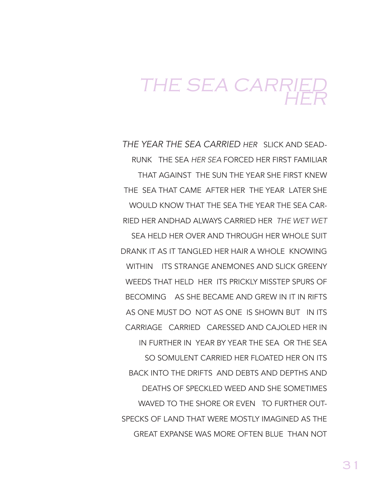*THE YEAR THE SEA CARRIED HER* SLICK AND SEAD-RUNK THE SEA *HER SEA* FORCED HER FIRST FAMILIAR THAT AGAINST THE SUN THE YEAR SHE FIRST KNEW THE SEA THAT CAME AFTER HER THE YEAR LATER SHE WOULD KNOW THAT THE SEA THE YEAR THE SEA CAR-RIED HER ANDHAD ALWAYS CARRIED HER *THE WET WET* SEA HELD HER OVER AND THROUGH HER WHOLE SUIT DRANK IT AS IT TANGLED HER HAIR A WHOLE KNOWING WITHIN ITS STRANGE ANEMONES AND SLICK GREENY WEEDS THAT HELD HER ITS PRICKLY MISSTEP SPURS OF BECOMING AS SHE BECAME AND GREW IN IT IN RIFTS AS ONE MUST DO NOT AS ONE IS SHOWN BUT IN ITS CARRIAGE CARRIED CARESSED AND CAJOLED HER IN IN FURTHER IN YEAR BY YEAR THE SEA OR THE SEA SO SOMULENT CARRIED HER FLOATED HER ON ITS BACK INTO THE DRIFTS AND DEBTS AND DEPTHS AND DEATHS OF SPECKLED WEED AND SHE SOMETIMES WAVED TO THE SHORE OR EVEN TO FURTHER OUT-SPECKS OF LAND THAT WERE MOSTLY IMAGINED AS THE GREAT EXPANSE WAS MORE OFTEN BLUE THAN NOT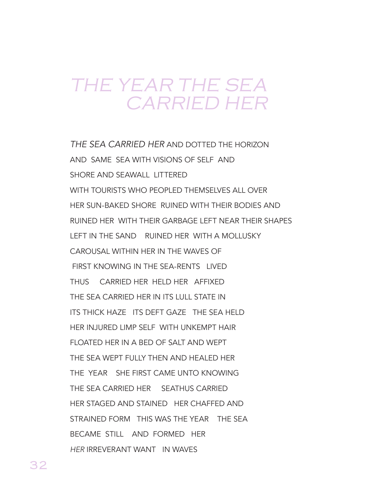*THE SEA CARRIED HER* AND DOTTED THE HORIZON AND SAME SEA WITH VISIONS OF SELF AND SHORE AND SEAWALL LITTERED WITH TOURISTS WHO PEOPLED THEMSELVES ALL OVER HER SUN-BAKED SHORE RUINED WITH THEIR BODIES AND RUINED HER WITH THEIR GARBAGE LEFT NEAR THEIR SHAPES LEFT IN THE SAND RUINED HER WITH A MOLLUSKY CAROUSAL WITHIN HER IN THE WAVES OF FIRST KNOWING IN THE SFA-RENTS LIVED THUS CARRIED HER HELD HER AFFIXED THE SEA CARRIED HER IN ITS LULL STATE IN ITS THICK HAZE ITS DEFT GAZE THE SEA HELD HER INJURED LIMP SELF WITH UNKEMPT HAIR FLOATED HER IN A BED OF SALT AND WEPT THE SEA WEPT FULLY THEN AND HEALED HER THE YEAR SHE FIRST CAME UNTO KNOWING THE SEA CARRIED HER SEATHUS CARRIED HER STAGED AND STAINED HER CHAFFED AND STRAINED FORM THIS WAS THE YEAR THE SEA BECAME STILL AND FORMED HER *HER* IRREVERANT WANT IN WAVES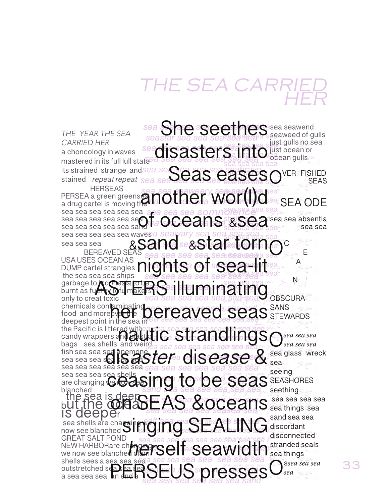*THE YEAR THE SEA CARRIED HER*  a choncology in waves mastered in its full lull state its strained strange and stained *repeat repeat* s<br>BERSEAS HERSEAS PERSEA a green greensea a drug cartel is moving the sea sea sea sea sea sea sea sea sea sea sea sea sea sea sea sea sanda sea sea sea sea sea waves sea sea sea BEREAVED SEA<br>USA USES OCEAN AS USA USES OCEAN AS DUMP cartel strangles the sea sea sea ships garbage to **Adonesia to be** burnt as fu**el in the full makers** only to creat toxic chemicals cont food and more by the deepest point in the sea in<br>the Pacific is littered withe the Pacific is littered with candy wrappers and **chatte** bags sea shells and weird fish sea sea sea anemone sea sea sea sea **pes een** sea sea sea sea sea sea sea sea sea se are changing  $\sqrt{e}$   $\frac{1}{\sqrt{2}}$ blanched the sea is c<br>bUI the **@** IS deeper sea shells are changing we now see blanched GREAT SALT POND NEW HARBORare changes we now see blanched dismi shells sees a sea outstretched se a sea sea sea an e just gulls no sea<br>just ocean or sea sulls<br>sea OVER FISHED sea sea **SEA ODE**  $\overline{\phantom{a}}$ sea sea absentia sea sea rtornoc sea  $sec^2$  $\sum_{\alpha=1}^{\infty} a_{\alpha}$  $S_0M_d$ OBSCURA<sup>C</sup>  $SANS \leq C$ sea sea sea sea sea glass wreck  $sea$  sea Seas SEASHORES  $\frac{1}{2}$  seething sea things sea sand sea sea<br>diseardant disconnected stranded seals<br>sea things sea sea Os*sea sea sea*   $S$ ea sea sea sea wave s**sea esea** a sea sea sea sea sea sea sea sea sea sea sea sea sea sand sea sea sea sea sea sea sea sea sea sea sea sea sea sea sea sea sea skeeps sea sea sea sea sea sea sea sea **sea alexer**a sea sea sea sea sea s<del>ga sea sa</del>a sea<sup>s</sup> sea **sea sea gear**  $\operatorname{\mathsf{RS}}$  illuminating sea froth sea sea seasea  $s$ ea sea $\mathbb{R}^n$   $\mathbb{R}^n$ star sea sea *fu* sea sea sea sea sea sea sea sea 3 S $\bigcap_{\mathbb{R}}\mathbb{Z}_{p}$ sea sea seal sea sing to be seas **se**a sea sea sea sea sea sea sea sea sea sea sea sea sea sea sea sea sea sea sea sand sea sea sea sea sea sea sea sea <sup>gui</sup> sea sea sea sea sea sea sea sea shells sea sea sea sea sea **SEUS presses** *sea sea sea sea sea sea sea*  sea She sea seased as seawend *sea sea sea sea sea sea sand sea* **disasters into** just ocean or *sea sea sea sea sea seabrave*  **Sea se** Seas eases *sea sea seaweary sea sea sea sea sea sea sea sea sea sea sea sea sea somnolence*  **Of oceans &sea**<sup>sea sea absentia</sup> *sea seawary sea sea sea sea sea sea seasea sea sea sea*  &sand &star torn *sea sea sea sea sea sea sea sea sea sea sea sea sea sea sea sea sea sea sea sea sea*  nights of sea-lit **ANGESTATERS Illuminating** *sea sea sea seasea sea salt*  **India ing pereaved seas** SANS *sea sea sea sea sea sea sea sea sea*  nautic strandlings<sub>(</sub> *sea sea sea sea sea sea sea sea sea sea sea sea sea sea sea sea*  **disaster disease & COasing to be seas SEASHORES** *sea sea sea sea sea sea sea*  **OASEAS &oceans** sea sea sea sea *salt sea sea sea sea sea sea sea sea sea sea sea sea sea sea sea sea*  singing **SEA**LING *sea sea sea sea sea sea sea sea sea sea sea sea sea sea sea sea sea sea sea sea sea sea sea sea sea sea*  herself seawidth *sea sea sea sea sea sea sand* PERSEUS presses another wor(l)d seaweed of gulls just gulls no sea ocean gulls SEAS SEA ODE sea sea  $\mathbf{Q}^{\mathrm{c}}$ E A N STEWARDS O*sea sea sea*  sea glass wreck *sea sea sea*  sea seeing seething sea things sea discordant sea things *sea*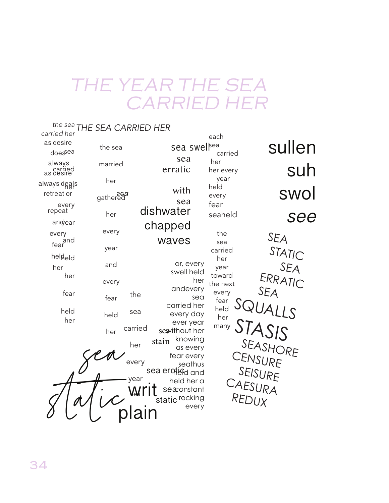|                                    | the sea THE SEA CARRIED HER |                                       |                        |                    |
|------------------------------------|-----------------------------|---------------------------------------|------------------------|--------------------|
| carried her<br>as desire<br>doesea | the sea                     | sea swelßea                           | each<br>carried        | sullen             |
| always<br>carried<br>as desire     | married                     | sea<br>erratic                        | her<br>her every       | suh                |
| always deals                       | her                         |                                       | year<br>held           |                    |
| retreat or                         | gathered<br>gathered        | with<br>sea                           | every                  | swol               |
| every<br>repeat                    | her                         | dishwater                             | fear<br>seaheld        | see                |
| andyear                            |                             | chapped                               |                        |                    |
| every<br>and<br>fear               | every<br>year               | waves                                 | the<br>sea             | SEA                |
| heldeld<br>her                     | and                         | or, every<br>swell held               | carried<br>her<br>year | STATIC<br>SEA      |
| her                                | every                       | her<br>andevery                       | toward<br>the next     | ERRATIC            |
| fear                               | fear                        | the<br>sea<br>carried her             | every<br>fear          | SEA                |
| held<br>her                        | held                        | sea<br>every day                      | held<br>her            | LLS                |
|                                    | her                         | ever year<br>carried<br>sewithout her | many                   | STASIS             |
|                                    |                             | knowing<br>stain<br>her<br>as every   |                        | SEASHORE           |
|                                    |                             | fear every<br>every<br>seathus        |                        | CENSURE            |
|                                    |                             | sea erofed and<br>year<br>held her a  |                        | SEISURE<br>CAESURA |
|                                    |                             | seaconstant<br>static rocking         | REDUX                  |                    |
|                                    |                             | every                                 |                        |                    |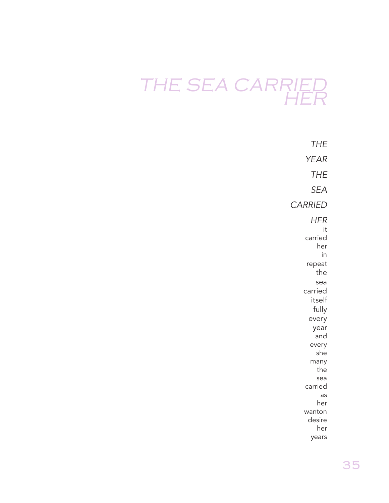*THE YEAR THE SEA CARRIED HER* it carried her in repeat the sea carried itself fully every year and every she many the sea carried as her wanton desire her years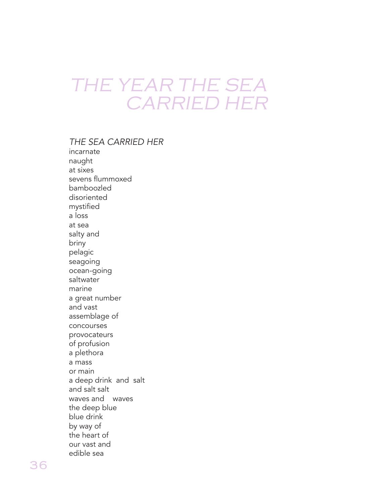#### *THE SEA CARRIED HER*

incarnate naught at sixes sevens flummoxed bamboozled disoriented mystified a loss at sea salty and briny pelagic seagoing ocean-going saltwater marine a great number and vast assemblage of concourses provocateurs of profusion a plethora a mass or main a deep drink and salt and salt salt waves and waves the deep blue blue drink by way of the heart of our vast and edible sea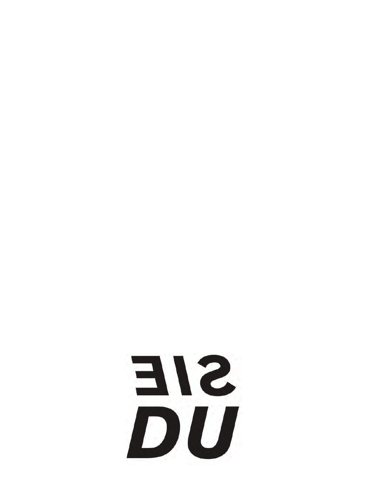